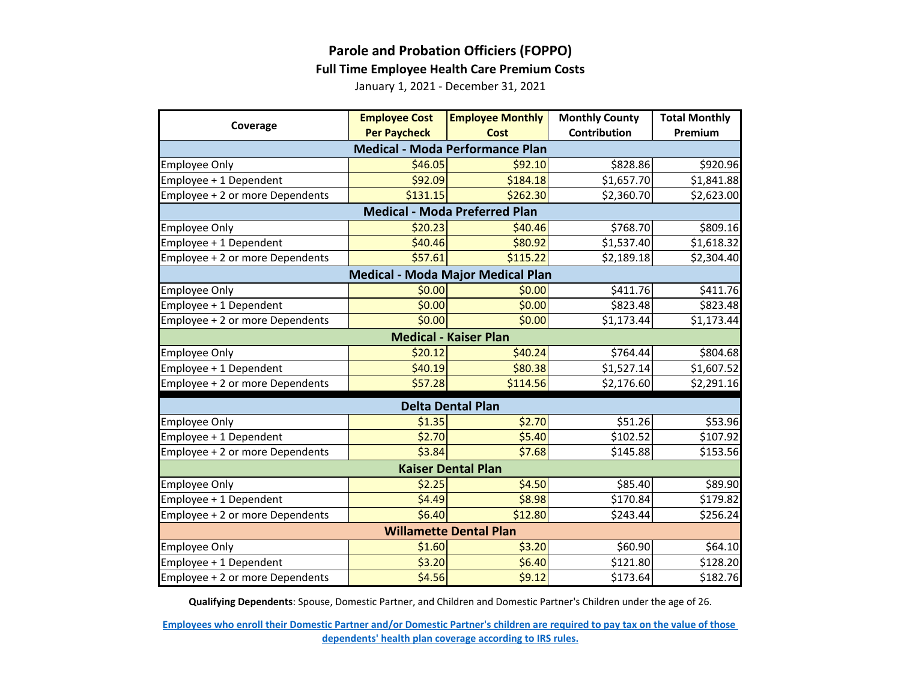

## **Parole and Probation Officiers (FOPPO)**

## **Full Time Employee Health Care Premium Costs**

January 1, 2021 - December 31, 2021

| Coverage                                 | <b>Employee Cost</b> | <b>Employee Monthly</b> | <b>Monthly County</b> | <b>Total Monthly</b> |  |  |  |
|------------------------------------------|----------------------|-------------------------|-----------------------|----------------------|--|--|--|
|                                          | <b>Per Paycheck</b>  | Cost                    | Contribution          | Premium              |  |  |  |
| <b>Medical - Moda Performance Plan</b>   |                      |                         |                       |                      |  |  |  |
| <b>Employee Only</b>                     | \$46.05              | \$92.10                 | \$828.86              | \$920.96             |  |  |  |
| Employee + 1 Dependent                   | \$92.09              | \$184.18                | \$1,657.70            | \$1,841.88           |  |  |  |
| Employee + 2 or more Dependents          | \$131.15             | \$262.30                | \$2,360.70            | \$2,623.00           |  |  |  |
| <b>Medical - Moda Preferred Plan</b>     |                      |                         |                       |                      |  |  |  |
| <b>Employee Only</b>                     | \$20.23              | \$40.46                 | \$768.70              | \$809.16             |  |  |  |
| Employee + 1 Dependent                   | \$40.46              | \$80.92                 | \$1,537.40            | \$1,618.32           |  |  |  |
| Employee + 2 or more Dependents          | \$57.61              | \$115.22                | \$2,189.18            | \$2,304.40           |  |  |  |
| <b>Medical - Moda Major Medical Plan</b> |                      |                         |                       |                      |  |  |  |
| <b>Employee Only</b>                     | \$0.00               | \$0.00                  | \$411.76              | \$411.76             |  |  |  |
| Employee + 1 Dependent                   | \$0.00               | \$0.00                  | \$823.48              | \$823.48             |  |  |  |
| Employee + 2 or more Dependents          | \$0.00               | \$0.00                  | \$1,173.44            | \$1,173.44           |  |  |  |
| <b>Medical - Kaiser Plan</b>             |                      |                         |                       |                      |  |  |  |
| <b>Employee Only</b>                     | \$20.12              | \$40.24                 | \$764.44              | \$804.68             |  |  |  |
| Employee + 1 Dependent                   | \$40.19              | \$80.38                 | \$1,527.14            | \$1,607.52           |  |  |  |
| Employee + 2 or more Dependents          | \$57.28              | \$114.56                | \$2,176.60            | \$2,291.16           |  |  |  |
| <b>Delta Dental Plan</b>                 |                      |                         |                       |                      |  |  |  |
| <b>Employee Only</b>                     | \$1.35               | \$2.70                  | \$51.26               | \$53.96              |  |  |  |
| Employee + 1 Dependent                   | \$2.70               | \$5.40                  | \$102.52              | \$107.92             |  |  |  |
| Employee + 2 or more Dependents          | \$3.84               | \$7.68                  | \$145.88              | \$153.56             |  |  |  |
| <b>Kaiser Dental Plan</b>                |                      |                         |                       |                      |  |  |  |
| <b>Employee Only</b>                     | \$2.25               | \$4.50                  | \$85.40               | \$89.90              |  |  |  |
| Employee + 1 Dependent                   | \$4.49               | \$8.98                  | \$170.84              | \$179.82             |  |  |  |
| Employee + 2 or more Dependents          | \$6.40               | \$12.80                 | \$243.44              | \$256.24             |  |  |  |
| <b>Willamette Dental Plan</b>            |                      |                         |                       |                      |  |  |  |
| <b>Employee Only</b>                     | \$1.60               | \$3.20                  | \$60.90               | \$64.10              |  |  |  |
| Employee + 1 Dependent                   | \$3.20               | \$6.40                  | \$121.80              | \$128.20             |  |  |  |
| Employee + 2 or more Dependents          | \$4.56               | \$9.12                  | \$173.64              | \$182.76             |  |  |  |

**Qualifying Dependents**: Spouse, Domestic Partner, and Children and Domestic Partner's Children under the age of 26.

**[Employees who enroll their Domestic Partner and/or Domestic Partner's children are r](https://multco.us/benefits/non-irs-eligible-dependents-domestic-partners-and-their-children)equired to pay tax on the value of those [dependents' health plan coverage according to IRS](https://multco.us/benefits/non-irs-eligible-dependents-domestic-partners-and-their-children) rules.**